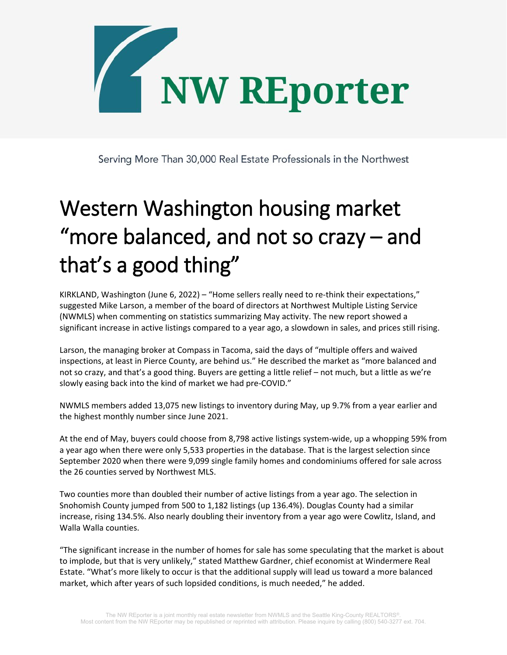

Serving More Than 30,000 Real Estate Professionals in the Northwest

## Western Washington housing market "more balanced, and not so crazy – and that's a good thing"

KIRKLAND, Washington (June 6, 2022) – "Home sellers really need to re-think their expectations," suggested Mike Larson, a member of the board of directors at Northwest Multiple Listing Service (NWMLS) when commenting on statistics summarizing May activity. The new report showed a significant increase in active listings compared to a year ago, a slowdown in sales, and prices still rising.

Larson, the managing broker at Compass in Tacoma, said the days of "multiple offers and waived inspections, at least in Pierce County, are behind us." He described the market as "more balanced and not so crazy, and that's a good thing. Buyers are getting a little relief – not much, but a little as we're slowly easing back into the kind of market we had pre-COVID."

NWMLS members added 13,075 new listings to inventory during May, up 9.7% from a year earlier and the highest monthly number since June 2021.

At the end of May, buyers could choose from 8,798 active listings system-wide, up a whopping 59% from a year ago when there were only 5,533 properties in the database. That is the largest selection since September 2020 when there were 9,099 single family homes and condominiums offered for sale across the 26 counties served by Northwest MLS.

Two counties more than doubled their number of active listings from a year ago. The selection in Snohomish County jumped from 500 to 1,182 listings (up 136.4%). Douglas County had a similar increase, rising 134.5%. Also nearly doubling their inventory from a year ago were Cowlitz, Island, and Walla Walla counties.

"The significant increase in the number of homes for sale has some speculating that the market is about to implode, but that is very unlikely," stated Matthew Gardner, chief economist at Windermere Real Estate. "What's more likely to occur is that the additional supply will lead us toward a more balanced market, which after years of such lopsided conditions, is much needed," he added.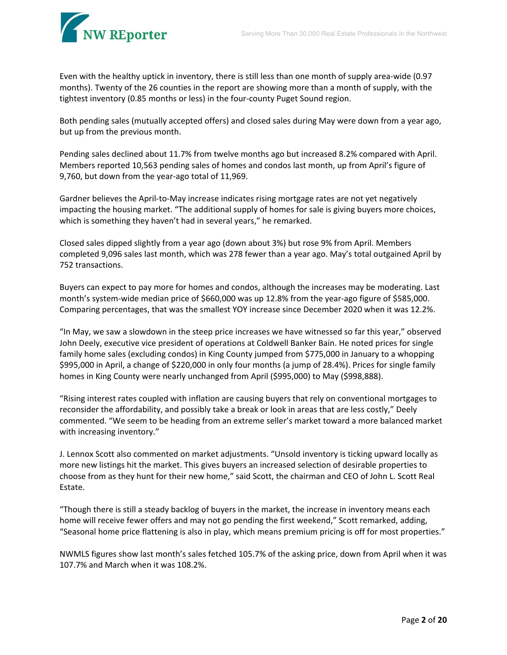

Even with the healthy uptick in inventory, there is still less than one month of supply area-wide (0.97 months). Twenty of the 26 counties in the report are showing more than a month of supply, with the tightest inventory (0.85 months or less) in the four-county Puget Sound region.

Both pending sales (mutually accepted offers) and closed sales during May were down from a year ago, but up from the previous month.

Pending sales declined about 11.7% from twelve months ago but increased 8.2% compared with April. Members reported 10,563 pending sales of homes and condos last month, up from April's figure of 9,760, but down from the year-ago total of 11,969.

Gardner believes the April-to-May increase indicates rising mortgage rates are not yet negatively impacting the housing market. "The additional supply of homes for sale is giving buyers more choices, which is something they haven't had in several years," he remarked.

Closed sales dipped slightly from a year ago (down about 3%) but rose 9% from April. Members completed 9,096 sales last month, which was 278 fewer than a year ago. May's total outgained April by 752 transactions.

Buyers can expect to pay more for homes and condos, although the increases may be moderating. Last month's system-wide median price of \$660,000 was up 12.8% from the year-ago figure of \$585,000. Comparing percentages, that was the smallest YOY increase since December 2020 when it was 12.2%.

"In May, we saw a slowdown in the steep price increases we have witnessed so far this year," observed John Deely, executive vice president of operations at Coldwell Banker Bain. He noted prices for single family home sales (excluding condos) in King County jumped from \$775,000 in January to a whopping \$995,000 in April, a change of \$220,000 in only four months (a jump of 28.4%). Prices for single family homes in King County were nearly unchanged from April (\$995,000) to May (\$998,888).

"Rising interest rates coupled with inflation are causing buyers that rely on conventional mortgages to reconsider the affordability, and possibly take a break or look in areas that are less costly," Deely commented. "We seem to be heading from an extreme seller's market toward a more balanced market with increasing inventory."

J. Lennox Scott also commented on market adjustments. "Unsold inventory is ticking upward locally as more new listings hit the market. This gives buyers an increased selection of desirable properties to choose from as they hunt for their new home," said Scott, the chairman and CEO of John L. Scott Real Estate.

"Though there is still a steady backlog of buyers in the market, the increase in inventory means each home will receive fewer offers and may not go pending the first weekend," Scott remarked, adding, "Seasonal home price flattening is also in play, which means premium pricing is off for most properties."

NWMLS figures show last month's sales fetched 105.7% of the asking price, down from April when it was 107.7% and March when it was 108.2%.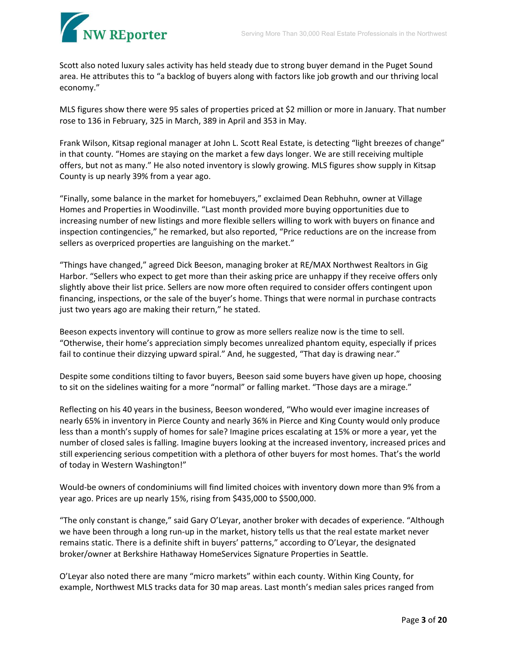

Scott also noted luxury sales activity has held steady due to strong buyer demand in the Puget Sound area. He attributes this to "a backlog of buyers along with factors like job growth and our thriving local economy."

MLS figures show there were 95 sales of properties priced at \$2 million or more in January. That number rose to 136 in February, 325 in March, 389 in April and 353 in May.

Frank Wilson, Kitsap regional manager at John L. Scott Real Estate, is detecting "light breezes of change" in that county. "Homes are staying on the market a few days longer. We are still receiving multiple offers, but not as many." He also noted inventory is slowly growing. MLS figures show supply in Kitsap County is up nearly 39% from a year ago.

"Finally, some balance in the market for homebuyers," exclaimed Dean Rebhuhn, owner at Village Homes and Properties in Woodinville. "Last month provided more buying opportunities due to increasing number of new listings and more flexible sellers willing to work with buyers on finance and inspection contingencies," he remarked, but also reported, "Price reductions are on the increase from sellers as overpriced properties are languishing on the market."

"Things have changed," agreed Dick Beeson, managing broker at RE/MAX Northwest Realtors in Gig Harbor. "Sellers who expect to get more than their asking price are unhappy if they receive offers only slightly above their list price. Sellers are now more often required to consider offers contingent upon financing, inspections, or the sale of the buyer's home. Things that were normal in purchase contracts just two years ago are making their return," he stated.

Beeson expects inventory will continue to grow as more sellers realize now is the time to sell. "Otherwise, their home's appreciation simply becomes unrealized phantom equity, especially if prices fail to continue their dizzying upward spiral." And, he suggested, "That day is drawing near."

Despite some conditions tilting to favor buyers, Beeson said some buyers have given up hope, choosing to sit on the sidelines waiting for a more "normal" or falling market. "Those days are a mirage."

Reflecting on his 40 years in the business, Beeson wondered, "Who would ever imagine increases of nearly 65% in inventory in Pierce County and nearly 36% in Pierce and King County would only produce less than a month's supply of homes for sale? Imagine prices escalating at 15% or more a year, yet the number of closed sales is falling. Imagine buyers looking at the increased inventory, increased prices and still experiencing serious competition with a plethora of other buyers for most homes. That's the world of today in Western Washington!"

Would-be owners of condominiums will find limited choices with inventory down more than 9% from a year ago. Prices are up nearly 15%, rising from \$435,000 to \$500,000.

"The only constant is change," said Gary O'Leyar, another broker with decades of experience. "Although we have been through a long run-up in the market, history tells us that the real estate market never remains static. There is a definite shift in buyers' patterns," according to O'Leyar, the designated broker/owner at Berkshire Hathaway HomeServices Signature Properties in Seattle.

O'Leyar also noted there are many "micro markets" within each county. Within King County, for example, Northwest MLS tracks data for 30 map areas. Last month's median sales prices ranged from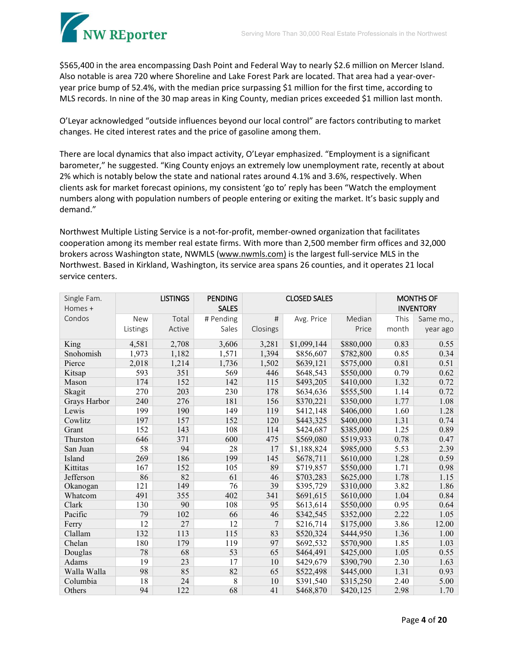

\$565,400 in the area encompassing Dash Point and Federal Way to nearly \$2.6 million on Mercer Island. Also notable is area 720 where Shoreline and Lake Forest Park are located. That area had a year-overyear price bump of 52.4%, with the median price surpassing \$1 million for the first time, according to MLS records. In nine of the 30 map areas in King County, median prices exceeded \$1 million last month.

O'Leyar acknowledged "outside influences beyond our local control" are factors contributing to market changes. He cited interest rates and the price of gasoline among them.

There are local dynamics that also impact activity, O'Leyar emphasized. "Employment is a significant barometer," he suggested. "King County enjoys an extremely low unemployment rate, recently at about 2% which is notably below the state and national rates around 4.1% and 3.6%, respectively. When clients ask for market forecast opinions, my consistent 'go to' reply has been "Watch the employment numbers along with population numbers of people entering or exiting the market. It's basic supply and demand."

Northwest Multiple Listing Service is a not-for-profit, member-owned organization that facilitates cooperation among its member real estate firms. With more than 2,500 member firm offices and 32,000 brokers across Washington state, NWMLS [\(www.nwmls.com\)](http://www.nwmls.com/) is the largest full-service MLS in the Northwest. Based in Kirkland, Washington, its service area spans 26 counties, and it operates 21 local service centers.

| Single Fam.  |            | <b>LISTINGS</b> | <b>PENDING</b> | <b>CLOSED SALES</b> |             |           | <b>MONTHS OF</b> |           |  |
|--------------|------------|-----------------|----------------|---------------------|-------------|-----------|------------------|-----------|--|
| Homes +      |            |                 | <b>SALES</b>   |                     |             |           | <b>INVENTORY</b> |           |  |
| Condos       | <b>New</b> | Total           | # Pending      | #                   | Avg. Price  | Median    | This             | Same mo., |  |
|              | Listings   | Active          | Sales          | Closings            |             | Price     | month            | year ago  |  |
| King         | 4,581      | 2,708           | 3,606          | 3,281               | \$1,099,144 | \$880,000 | 0.83             | 0.55      |  |
| Snohomish    | 1,973      | 1,182           | 1,571          | 1,394               | \$856,607   | \$782,800 | 0.85             | 0.34      |  |
| Pierce       | 2,018      | 1,214           | 1,736          | 1,502               | \$639,121   | \$575,000 | 0.81             | 0.51      |  |
| Kitsap       | 593        | 351             | 569            | 446                 | \$648,543   | \$550,000 | 0.79             | 0.62      |  |
| Mason        | 174        | 152             | 142            | 115                 | \$493,205   | \$410,000 | 1.32             | 0.72      |  |
| Skagit       | 270        | 203             | 230            | 178                 | \$634,636   | \$555,500 | 1.14             | 0.72      |  |
| Grays Harbor | 240        | 276             | 181            | 156                 | \$370,221   | \$350,000 | 1.77             | 1.08      |  |
| Lewis        | 199        | 190             | 149            | 119                 | \$412,148   | \$406,000 | 1.60             | 1.28      |  |
| Cowlitz      | 197        | 157             | 152            | 120                 | \$443,325   | \$400,000 | 1.31             | 0.74      |  |
| Grant        | 152        | 143             | 108            | 114                 | \$424,687   | \$385,000 | 1.25             | 0.89      |  |
| Thurston     | 646        | 371             | 600            | 475                 | \$569,080   | \$519,933 | 0.78             | 0.47      |  |
| San Juan     | 58         | 94              | 28             | 17                  | \$1,188,824 | \$985,000 | 5.53             | 2.39      |  |
| Island       | 269        | 186             | 199            | 145                 | \$678,711   | \$610,000 | 1.28             | 0.59      |  |
| Kittitas     | 167        | 152             | 105            | 89                  | \$719,857   | \$550,000 | 1.71             | 0.98      |  |
| Jefferson    | 86         | 82              | 61             | 46                  | \$703,283   | \$625,000 | 1.78             | 1.15      |  |
| Okanogan     | 121        | 149             | 76             | 39                  | \$395,729   | \$310,000 | 3.82             | 1.86      |  |
| Whatcom      | 491        | 355             | 402            | 341                 | \$691,615   | \$610,000 | 1.04             | 0.84      |  |
| Clark        | 130        | 90              | 108            | 95                  | \$613,614   | \$550,000 | 0.95             | 0.64      |  |
| Pacific      | 79         | 102             | 66             | 46                  | \$342,545   | \$352,000 | 2.22             | 1.05      |  |
| Ferry        | 12         | 27              | 12             | 7                   | \$216,714   | \$175,000 | 3.86             | 12.00     |  |
| Clallam      | 132        | 113             | 115            | 83                  | \$520,324   | \$444,950 | 1.36             | 1.00      |  |
| Chelan       | 180        | 179             | 119            | 97                  | \$692,532   | \$570,900 | 1.85             | 1.03      |  |
| Douglas      | 78         | 68              | 53             | 65                  | \$464,491   | \$425,000 | 1.05             | 0.55      |  |
| Adams        | 19         | 23              | 17             | 10                  | \$429,679   | \$390,790 | 2.30             | 1.63      |  |
| Walla Walla  | 98         | 85              | 82             | 65                  | \$522,498   | \$445,000 | 1.31             | 0.93      |  |
| Columbia     | 18         | 24              | 8              | 10                  | \$391,540   | \$315,250 | 2.40             | 5.00      |  |
| Others       | 94         | 122             | 68             | 41                  | \$468,870   | \$420,125 | 2.98             | 1.70      |  |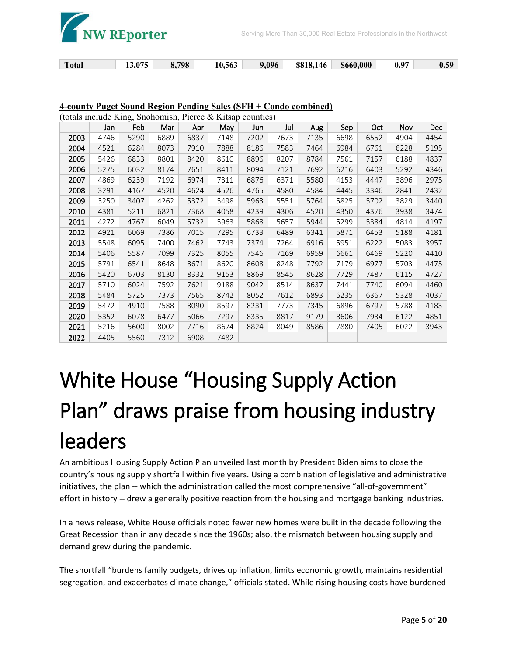

| <b>Total</b> | .3.075 | 8,798 | 10.563 | 9.096 | \$818,146 | \$660,000 | 0.97 | 0.5 |
|--------------|--------|-------|--------|-------|-----------|-----------|------|-----|
|--------------|--------|-------|--------|-------|-----------|-----------|------|-----|

| 4-county ruget sound region rending sales (Sr H + Condo combined) |      |      |      |      |      |      |      |      |      |      |      |      |
|-------------------------------------------------------------------|------|------|------|------|------|------|------|------|------|------|------|------|
| (totals include King, Snohomish, Pierce & Kitsap counties)        |      |      |      |      |      |      |      |      |      |      |      |      |
|                                                                   | Jan  | Feb  | Mar  | Apr  | May  | Jun  | Jul  | Aug  | Sep  | Oct  | Nov  | Dec  |
| 2003                                                              | 4746 | 5290 | 6889 | 6837 | 7148 | 7202 | 7673 | 7135 | 6698 | 6552 | 4904 | 4454 |
| 2004                                                              | 4521 | 6284 | 8073 | 7910 | 7888 | 8186 | 7583 | 7464 | 6984 | 6761 | 6228 | 5195 |
| 2005                                                              | 5426 | 6833 | 8801 | 8420 | 8610 | 8896 | 8207 | 8784 | 7561 | 7157 | 6188 | 4837 |
| 2006                                                              | 5275 | 6032 | 8174 | 7651 | 8411 | 8094 | 7121 | 7692 | 6216 | 6403 | 5292 | 4346 |
| 2007                                                              | 4869 | 6239 | 7192 | 6974 | 7311 | 6876 | 6371 | 5580 | 4153 | 4447 | 3896 | 2975 |
| 2008                                                              | 3291 | 4167 | 4520 | 4624 | 4526 | 4765 | 4580 | 4584 | 4445 | 3346 | 2841 | 2432 |
| 2009                                                              | 3250 | 3407 | 4262 | 5372 | 5498 | 5963 | 5551 | 5764 | 5825 | 5702 | 3829 | 3440 |
| 2010                                                              | 4381 | 5211 | 6821 | 7368 | 4058 | 4239 | 4306 | 4520 | 4350 | 4376 | 3938 | 3474 |
| 2011                                                              | 4272 | 4767 | 6049 | 5732 | 5963 | 5868 | 5657 | 5944 | 5299 | 5384 | 4814 | 4197 |
| 2012                                                              | 4921 | 6069 | 7386 | 7015 | 7295 | 6733 | 6489 | 6341 | 5871 | 6453 | 5188 | 4181 |
| 2013                                                              | 5548 | 6095 | 7400 | 7462 | 7743 | 7374 | 7264 | 6916 | 5951 | 6222 | 5083 | 3957 |
| 2014                                                              | 5406 | 5587 | 7099 | 7325 | 8055 | 7546 | 7169 | 6959 | 6661 | 6469 | 5220 | 4410 |
| 2015                                                              | 5791 | 6541 | 8648 | 8671 | 8620 | 8608 | 8248 | 7792 | 7179 | 6977 | 5703 | 4475 |
| 2016                                                              | 5420 | 6703 | 8130 | 8332 | 9153 | 8869 | 8545 | 8628 | 7729 | 7487 | 6115 | 4727 |
| 2017                                                              | 5710 | 6024 | 7592 | 7621 | 9188 | 9042 | 8514 | 8637 | 7441 | 7740 | 6094 | 4460 |
| 2018                                                              | 5484 | 5725 | 7373 | 7565 | 8742 | 8052 | 7612 | 6893 | 6235 | 6367 | 5328 | 4037 |
| 2019                                                              | 5472 | 4910 | 7588 | 8090 | 8597 | 8231 | 7773 | 7345 | 6896 | 6797 | 5788 | 4183 |
| 2020                                                              | 5352 | 6078 | 6477 | 5066 | 7297 | 8335 | 8817 | 9179 | 8606 | 7934 | 6122 | 4851 |
| 2021                                                              | 5216 | 5600 | 8002 | 7716 | 8674 | 8824 | 8049 | 8586 | 7880 | 7405 | 6022 | 3943 |
| 2022                                                              | 4405 | 5560 | 7312 | 6908 | 7482 |      |      |      |      |      |      |      |

#### **4-county Puget Sound Region Pending Sales (SFH + Condo combined)**

## White House "Housing Supply Action Plan" draws praise from housing industry leaders

An ambitious Housing Supply Action Plan unveiled last month by President Biden aims to close the country's housing supply shortfall within five years. Using a combination of legislative and administrative initiatives, the plan -- which the administration called the most comprehensive "all-of-government" effort in history -- drew a generally positive reaction from the housing and mortgage banking industries.

In a news release, White House officials noted fewer new homes were built in the decade following the Great Recession than in any decade since the 1960s; also, the mismatch between housing supply and demand grew during the pandemic.

The shortfall "burdens family budgets, drives up inflation, limits economic growth, maintains residential segregation, and exacerbates climate change," officials stated. While rising housing costs have burdened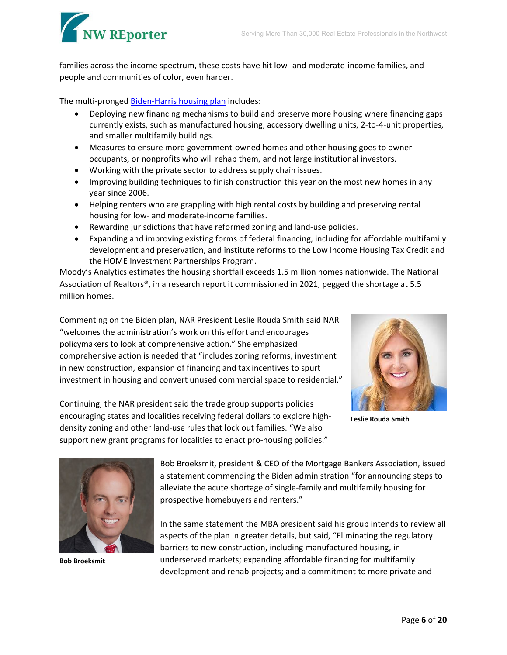

families across the income spectrum, these costs have hit low- and moderate-income families, and people and communities of color, even harder.

The multi-pronged [Biden-Harris housing plan](https://www.whitehouse.gov/briefing-room/statements-releases/2022/05/16/president-biden-announces-new-actions-to-ease-the-burden-of-housing-costs/) includes:

- Deploying new financing mechanisms to build and preserve more housing where financing gaps currently exists, such as manufactured housing, accessory dwelling units, 2-to-4-unit properties, and smaller multifamily buildings.
- Measures to ensure more government-owned homes and other housing goes to owneroccupants, or nonprofits who will rehab them, and not large institutional investors.
- Working with the private sector to address supply chain issues.
- Improving building techniques to finish construction this year on the most new homes in any year since 2006.
- Helping renters who are grappling with high rental costs by building and preserving rental housing for low- and moderate-income families.
- Rewarding jurisdictions that have reformed zoning and land-use policies.
- Expanding and improving existing forms of federal financing, including for affordable multifamily development and preservation, and institute reforms to the Low Income Housing Tax Credit and the HOME Investment Partnerships Program.

Moody's Analytics estimates the housing shortfall exceeds 1.5 million homes nationwide. The National Association of Realtors®, in a research report it commissioned in 2021, pegged the shortage at 5.5 million homes.

Commenting on the Biden plan, NAR President Leslie Rouda Smith said NAR "welcomes the administration's work on this effort and encourages policymakers to look at comprehensive action." She emphasized comprehensive action is needed that "includes zoning reforms, investment in new construction, expansion of financing and tax incentives to spurt investment in housing and convert unused commercial space to residential."



**Leslie Rouda Smith**

Continuing, the NAR president said the trade group supports policies encouraging states and localities receiving federal dollars to explore highdensity zoning and other land-use rules that lock out families. "We also support new grant programs for localities to enact pro-housing policies."



**Bob Broeksmit**

Bob Broeksmit, president & CEO of the Mortgage Bankers Association, issued a statement commending the Biden administration "for announcing steps to alleviate the acute shortage of single-family and multifamily housing for prospective homebuyers and renters."

In the same statement the MBA president said his group intends to review all aspects of the plan in greater details, but said, "Eliminating the regulatory barriers to new construction, including manufactured housing, in underserved markets; expanding affordable financing for multifamily development and rehab projects; and a commitment to more private and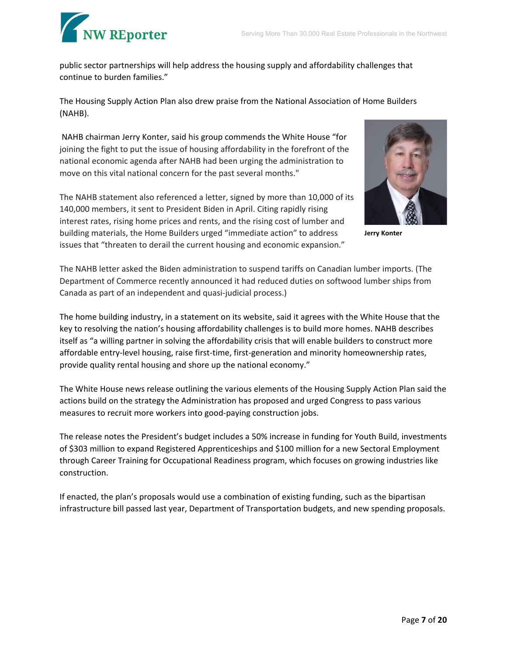

public sector partnerships will help address the housing supply and affordability challenges that continue to burden families."

The Housing Supply Action Plan also drew praise from the National Association of Home Builders (NAHB).

NAHB chairman Jerry Konter, said his group commends the White House "for joining the fight to put the issue of housing affordability in the forefront of the national economic agenda after NAHB had been urging the administration to move on this vital national concern for the past several months."



**Jerry Konter**

The NAHB statement also referenced a letter, signed by more than 10,000 of its 140,000 members, it sent to President Biden in April. Citing rapidly rising interest rates, rising home prices and rents, and the rising cost of lumber and building materials, the Home Builders urged "immediate action" to address issues that "threaten to derail the current housing and economic expansion."

The NAHB letter asked the Biden administration to suspend tariffs on Canadian lumber imports. (The Department of Commerce recently announced it had reduced duties on softwood lumber ships from Canada as part of an independent and quasi-judicial process.)

The home building industry, in a statement on its website, said it agrees with the White House that the key to resolving the nation's housing affordability challenges is to build more homes. NAHB describes itself as "a willing partner in solving the affordability crisis that will enable builders to construct more affordable entry-level housing, raise first-time, first-generation and minority homeownership rates, provide quality rental housing and shore up the national economy."

The White House news release outlining the various elements of the Housing Supply Action Plan said the actions build on the strategy the Administration has proposed and urged Congress to pass various measures to recruit more workers into good-paying construction jobs.

The release notes the President's budget includes a 50% increase in funding for Youth Build, investments of \$303 million to expand Registered Apprenticeships and \$100 million for a new Sectoral Employment through Career Training for Occupational Readiness program, which focuses on growing industries like construction.

If enacted, the plan's proposals would use a combination of existing funding, such as the bipartisan infrastructure bill passed last year, Department of Transportation budgets, and new spending proposals.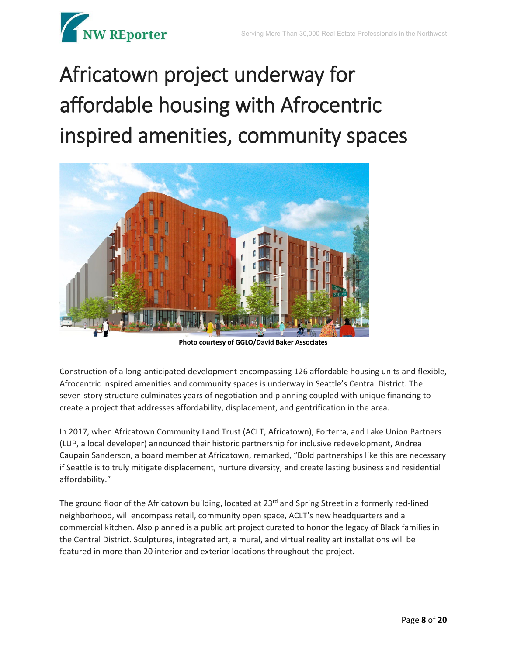

# Africatown project underway for affordable housing with Afrocentric inspired amenities, community spaces



**Photo courtesy of GGLO/David Baker Associates**

Construction of a long-anticipated development encompassing 126 affordable housing units and flexible, Afrocentric inspired amenities and community spaces is underway in Seattle's Central District. The seven-story structure culminates years of negotiation and planning coupled with unique financing to create a project that addresses affordability, displacement, and gentrification in the area.

In 2017, when Africatown Community Land Trust (ACLT, Africatown), Forterra, and Lake Union Partners (LUP, a local developer) announced their historic partnership for inclusive redevelopment, Andrea Caupain Sanderson, a board member at Africatown, remarked, "Bold partnerships like this are necessary if Seattle is to truly mitigate displacement, nurture diversity, and create lasting business and residential affordability."

The ground floor of the Africatown building, located at 23<sup>rd</sup> and Spring Street in a formerly red-lined neighborhood, will encompass retail, community open space, ACLT's new headquarters and a commercial kitchen. Also planned is a public art project curated to honor the legacy of Black families in the Central District. Sculptures, integrated art, a mural, and virtual reality art installations will be featured in more than 20 interior and exterior locations throughout the project.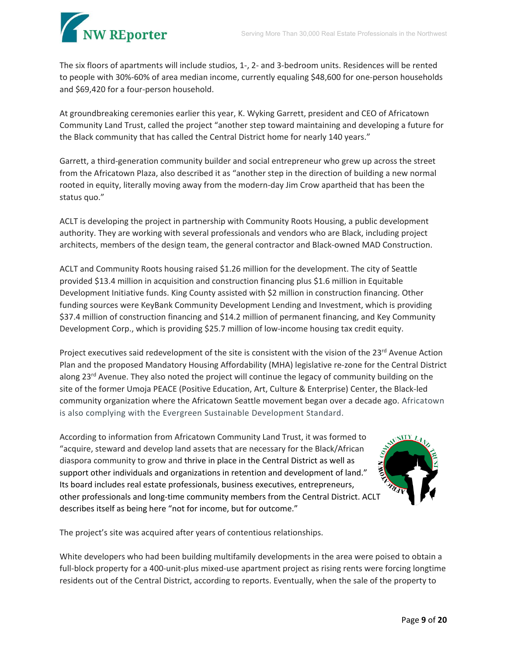

The six floors of apartments will include studios, 1-, 2- and 3-bedroom units. Residences will be rented to people with 30%-60% of area median income, currently equaling \$48,600 for one-person households and \$69,420 for a four-person household.

At groundbreaking ceremonies earlier this year, K. Wyking Garrett, president and CEO of Africatown Community Land Trust, called the project "another step toward maintaining and developing a future for the Black community that has called the Central District home for nearly 140 years."

Garrett, a third-generation community builder and social entrepreneur who grew up across the street from the Africatown Plaza, also described it as "another step in the direction of building a new normal rooted in equity, literally moving away from the modern-day Jim Crow apartheid that has been the status quo."

ACLT is developing the project in partnership with Community Roots Housing, a public development authority. They are working with several professionals and vendors who are Black, including project architects, members of the design team, the general contractor and Black-owned MAD Construction.

ACLT and Community Roots housing raised \$1.26 million for the development. The city of Seattle provided \$13.4 million in acquisition and construction financing plus \$1.6 million in Equitable Development Initiative funds. King County assisted with \$2 million in construction financing. Other funding sources were KeyBank Community Development Lending and Investment, which is providing \$37.4 million of construction financing and \$14.2 million of permanent financing, and Key Community Development Corp., which is providing \$25.7 million of low-income housing tax credit equity.

Project executives said redevelopment of the site is consistent with the vision of the 23<sup>rd</sup> Avenue Action Plan and the proposed Mandatory Housing Affordability (MHA) legislative re-zone for the Central District along 23<sup>rd</sup> Avenue. They also noted the project will continue the legacy of community building on the site of the former Umoja PEACE (Positive Education, Art, Culture & Enterprise) Center, the Black-led community organization where the Africatown Seattle movement began over a decade ago. Africatown is also complying with the Evergreen Sustainable Development Standard.

According to information from Africatown Community Land Trust, it was formed to "acquire, steward and develop land assets that are necessary for the Black/African diaspora community to grow and thrive in place in the Central District as well as support other individuals and organizations in retention and development of land." Its board includes real estate professionals, business executives, entrepreneurs, other professionals and long-time community members from the Central District. ACLT describes itself as being here "not for income, but for outcome."



The project's site was acquired after years of contentious relationships.

White developers who had been building multifamily developments in the area were poised to obtain a full-block property for a 400-unit-plus mixed-use apartment project as rising rents were forcing longtime residents out of the Central District, according to reports. Eventually, when the sale of the property to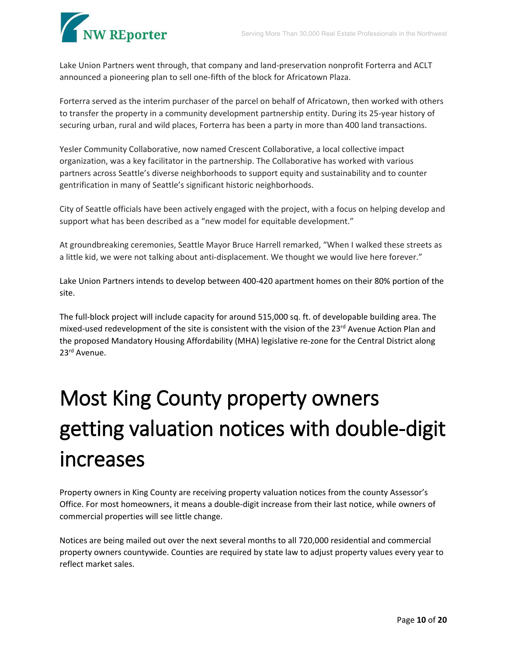

Lake Union Partners went through, that company and land-preservation nonprofit Forterra and ACLT announced a pioneering plan to sell one-fifth of the block for Africatown Plaza.

Forterra served as the interim purchaser of the parcel on behalf of Africatown, then worked with others to transfer the property in a community development partnership entity. During its 25-year history of securing urban, rural and wild places, Forterra has been a party in more than 400 land transactions.

Yesler Community Collaborative, now named Crescent Collaborative, a local collective impact organization, was a key facilitator in the partnership. The Collaborative has worked with various partners across Seattle's diverse neighborhoods to support equity and sustainability and to counter gentrification in many of Seattle's significant historic neighborhoods.

City of Seattle officials have been actively engaged with the project, with a focus on helping develop and support what has been described as a "new model for equitable development."

At groundbreaking ceremonies, Seattle Mayor Bruce Harrell remarked, "When I walked these streets as a little kid, we were not talking about anti-displacement. We thought we would live here forever."

Lake Union Partners intends to develop between 400-420 apartment homes on their 80% portion of the site.

The full-block project will include capacity for around 515,000 sq. ft. of developable building area. The mixed-used redevelopment of the site is consistent with the vision of the 23<sup>rd</sup> Avenue Action Plan and the proposed Mandatory Housing Affordability (MHA) legislative re-zone for the Central District along 23rd Avenue.

## Most King County property owners getting valuation notices with double-digit increases

Property owners in King County are receiving property valuation notices from the county Assessor's Office. For most homeowners, it means a double-digit increase from their last notice, while owners of commercial properties will see little change.

Notices are being mailed out over the next several months to all 720,000 residential and commercial property owners countywide. Counties are required by state law to adjust property values every year to reflect market sales.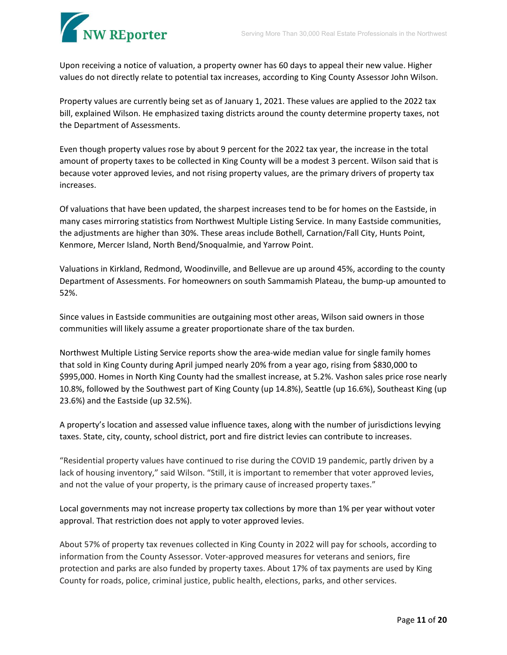

Upon receiving a notice of valuation, a property owner has 60 days to appeal their new value. Higher values do not directly relate to potential tax increases, according to King County Assessor John Wilson.

Property values are currently being set as of January 1, 2021. These values are applied to the 2022 tax bill, explained Wilson. He emphasized taxing districts around the county determine property taxes, not the Department of Assessments.

Even though property values rose by about 9 percent for the 2022 tax year, the increase in the total amount of property taxes to be collected in King County will be a modest 3 percent. Wilson said that is because voter approved levies, and not rising property values, are the primary drivers of property tax increases.

Of valuations that have been updated, the sharpest increases tend to be for homes on the Eastside, in many cases mirroring statistics from Northwest Multiple Listing Service. In many Eastside communities, the adjustments are higher than 30%. These areas include Bothell, Carnation/Fall City, Hunts Point, Kenmore, Mercer Island, North Bend/Snoqualmie, and Yarrow Point.

Valuations in Kirkland, Redmond, Woodinville, and Bellevue are up around 45%, according to the county Department of Assessments. For homeowners on south Sammamish Plateau, the bump-up amounted to 52%.

Since values in Eastside communities are outgaining most other areas, Wilson said owners in those communities will likely assume a greater proportionate share of the tax burden.

Northwest Multiple Listing Service reports show the area-wide median value for single family homes that sold in King County during April jumped nearly 20% from a year ago, rising from \$830,000 to \$995,000. Homes in North King County had the smallest increase, at 5.2%. Vashon sales price rose nearly 10.8%, followed by the Southwest part of King County (up 14.8%), Seattle (up 16.6%), Southeast King (up 23.6%) and the Eastside (up 32.5%).

A property's location and assessed value influence taxes, along with the number of jurisdictions levying taxes. State, city, county, school district, port and fire district levies can contribute to increases.

"Residential property values have continued to rise during the COVID 19 pandemic, partly driven by a lack of housing inventory," said Wilson. "Still, it is important to remember that voter approved levies, and not the value of your property, is the primary cause of increased property taxes."

Local governments may not increase property tax collections by more than 1% per year without voter approval. That restriction does not apply to voter approved levies.

About 57% of property tax revenues collected in King County in 2022 will pay for schools, according to information from the County Assessor. Voter-approved measures for veterans and seniors, fire protection and parks are also funded by property taxes. About 17% of tax payments are used by King County for roads, police, criminal justice, public health, elections, parks, and other services.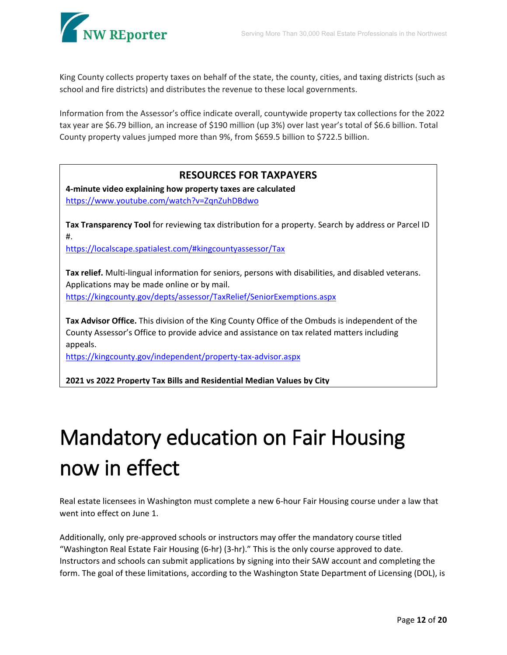

King County collects property taxes on behalf of the state, the county, cities, and taxing districts (such as school and fire districts) and distributes the revenue to these local governments.

Information from the Assessor's office indicate overall, countywide property tax collections for the 2022 tax year are \$6.79 billion, an increase of \$190 million (up 3%) over last year's total of \$6.6 billion. Total County property values jumped more than 9%, from \$659.5 billion to \$722.5 billion.

#### **RESOURCES FOR TAXPAYERS**

**4-minute video explaining how property taxes are calculated** <https://www.youtube.com/watch?v=ZqnZuhDBdwo>

**Tax Transparency Tool** for reviewing tax distribution for a property. Search by address or Parcel ID #.

<https://localscape.spatialest.com/#kingcountyassessor/Tax>

**Tax relief.** Multi-lingual information for seniors, persons with disabilities, and disabled veterans. Applications may be made online or by mail. <https://kingcounty.gov/depts/assessor/TaxRelief/SeniorExemptions.aspx>

**Tax Advisor Office.** This division of the King County Office of the Ombuds is independent of the County Assessor's Office to provide advice and assistance on tax related matters including appeals.

<https://kingcounty.gov/independent/property-tax-advisor.aspx>

**2021 vs 2022 Property Tax Bills and Residential Median Values by City**

## Mandatory education on Fair Housing now in effect

Real estate licensees in Washington must complete a new 6-hour Fair Housing course under a law that went into effect on June 1.

Additionally, only pre-approved schools or instructors may offer the mandatory course titled "Washington Real Estate Fair Housing (6-hr) (3-hr)." This is the only course approved to date. Instructors and schools can submit applications by signing into their SAW account and completing the form. The goal of these limitations, according to the Washington State Department of Licensing (DOL), is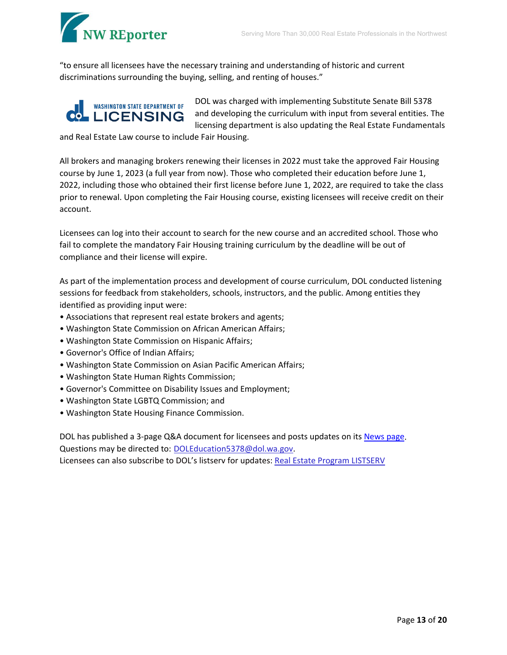

"to ensure all licensees have the necessary training and understanding of historic and current discriminations surrounding the buying, selling, and renting of houses."



DOL was charged with implementing Substitute Senate Bill 5378 and developing the curriculum with input from several entities. The licensing department is also updating the Real Estate Fundamentals

and Real Estate Law course to include Fair Housing.

All brokers and managing brokers renewing their licenses in 2022 must take the approved Fair Housing course by June 1, 2023 (a full year from now). Those who completed their education before June 1, 2022, including those who obtained their first license before June 1, 2022, are required to take the class prior to renewal. Upon completing the Fair Housing course, existing licensees will receive credit on their account.

Licensees can log into their account to search for the new course and an accredited school. Those who fail to complete the mandatory Fair Housing training curriculum by the deadline will be out of compliance and their license will expire.

As part of the implementation process and development of course curriculum, DOL conducted listening sessions for feedback from stakeholders, schools, instructors, and the public. Among entities they identified as providing input were:

- Associations that represent real estate brokers and agents;
- Washington State Commission on African American Affairs;
- Washington State Commission on Hispanic Affairs;
- Governor's Office of Indian Affairs;
- Washington State Commission on Asian Pacific American Affairs;
- Washington State Human Rights Commission;
- Governor's Committee on Disability Issues and Employment;
- Washington State LGBTQ Commission; and
- Washington State Housing Finance Commission.

DOL has published a 3-page Q&A document for licensees and posts updates on its [News page.](https://www.dol.wa.gov/business/realestate/renews.html) Questions may be directed to: [DOLEducation5378@dol.wa.gov.](mailto:DOLEducation5378@dol.wa.gov) Licensees can also subscribe to DOL's listserv for updates: Real Estate [Program LISTSERV](http://listserv.dol.wa.gov/scripts/wa-DOLWA.exe?SUBED1=REAL-ESTATE&A=1)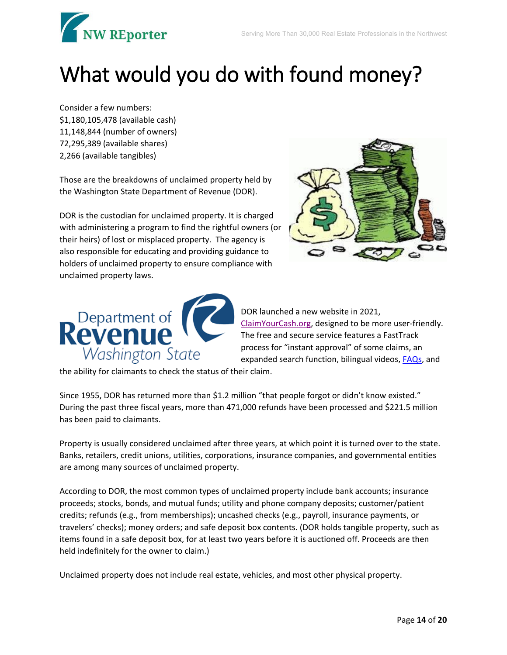

## What would you do with found money?

Consider a few numbers: \$1,180,105,478 (available cash) 11,148,844 (number of owners) 72,295,389 (available shares) 2,266 (available tangibles)

Those are the breakdowns of unclaimed property held by the Washington State Department of Revenue (DOR).

DOR is the custodian for unclaimed property. It is charged with administering a program to find the rightful owners (or their heirs) of lost or misplaced property. The agency is also responsible for educating and providing guidance to holders of unclaimed property to ensure compliance with unclaimed property laws.





DOR launched a new website in 2021, [ClaimYourCash.org,](https://ucp.dor.wa.gov/) designed to be more user-friendly. The free and secure service features a FastTrack process for "instant approval" of some claims, an expanded search function, bilingual videos, [FAQs,](https://ucp.dor.wa.gov/app/faq-general) and

the ability for claimants to check the status of their claim.

Since 1955, DOR has returned more than \$1.2 million "that people forgot or didn't know existed." During the past three fiscal years, more than 471,000 refunds have been processed and \$221.5 million has been paid to claimants.

Property is usually considered unclaimed after three years, at which point it is turned over to the state. Banks, retailers, credit unions, utilities, corporations, insurance companies, and governmental entities are among many sources of unclaimed property.

According to DOR, the most common types of unclaimed property include bank accounts; insurance proceeds; stocks, bonds, and mutual funds; utility and phone company deposits; customer/patient credits; refunds (e.g., from memberships); uncashed checks (e.g., payroll, insurance payments, or travelers' checks); money orders; and safe deposit box contents. (DOR holds tangible property, such as items found in a safe deposit box, for at least two years before it is auctioned off. Proceeds are then held indefinitely for the owner to claim.)

Unclaimed property does not include real estate, vehicles, and most other physical property.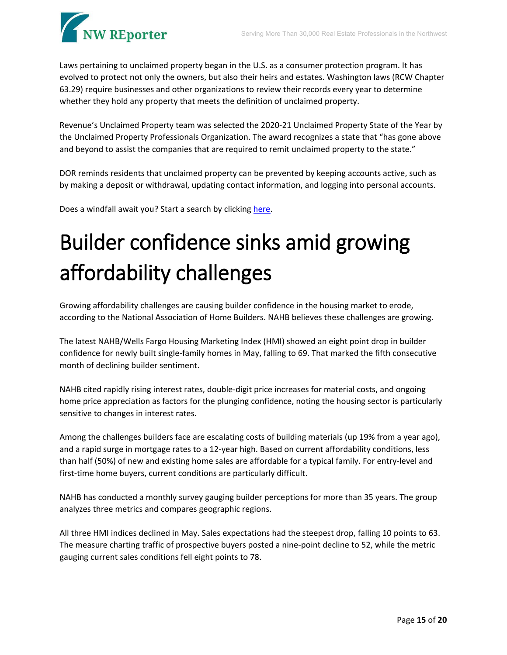

Laws pertaining to unclaimed property began in the U.S. as a consumer protection program. It has evolved to protect not only the owners, but also their heirs and estates. Washington laws (RCW Chapter 63.29) require businesses and other organizations to review their records every year to determine whether they hold any property that meets the definition of unclaimed property.

Revenue's Unclaimed Property team was selected the 2020-21 Unclaimed Property State of the Year by the Unclaimed Property Professionals Organization. The award recognizes a state that "has gone above and beyond to assist the companies that are required to remit unclaimed property to the state."

DOR reminds residents that unclaimed property can be prevented by keeping accounts active, such as by making a deposit or withdrawal, updating contact information, and logging into personal accounts.

Does a windfall await you? Start a search by clicking [here.](https://ucp.dor.wa.gov/app/claim-search)

## Builder confidence sinks amid growing affordability challenges

Growing affordability challenges are causing builder confidence in the housing market to erode, according to the National Association of Home Builders. NAHB believes these challenges are growing.

The latest NAHB/Wells Fargo Housing Marketing Index (HMI) showed an eight point drop in builder confidence for newly built single-family homes in May, falling to 69. That marked the fifth consecutive month of declining builder sentiment.

NAHB cited rapidly rising interest rates, double-digit price increases for material costs, and ongoing home price appreciation as factors for the plunging confidence, noting the housing sector is particularly sensitive to changes in interest rates.

Among the challenges builders face are escalating costs of building materials (up 19% from a year ago), and a rapid surge in mortgage rates to a 12-year high. Based on current affordability conditions, less than half (50%) of new and existing home sales are affordable for a typical family. For entry-level and first-time home buyers, current conditions are particularly difficult.

NAHB has conducted a monthly survey gauging builder perceptions for more than 35 years. The group analyzes three metrics and compares geographic regions.

All three HMI indices declined in May. Sales expectations had the steepest drop, falling 10 points to 63. The measure charting traffic of prospective buyers posted a nine-point decline to 52, while the metric gauging current sales conditions fell eight points to 78.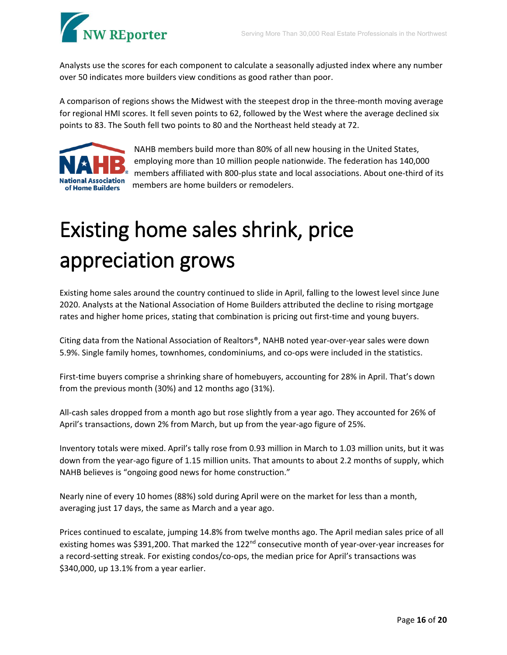

Analysts use the scores for each component to calculate a seasonally adjusted index where any number over 50 indicates more builders view conditions as good rather than poor.

A comparison of regions shows the Midwest with the steepest drop in the three-month moving average for regional HMI scores. It fell seven points to 62, followed by the West where the average declined six points to 83. The South fell two points to 80 and the Northeast held steady at 72.



NAHB members build more than 80% of all new housing in the United States, employing more than 10 million people nationwide. The federation has 140,000 members affiliated with 800-plus state and local associations. About one-third of its members are home builders or remodelers.

## Existing home sales shrink, price appreciation grows

Existing home sales around the country continued to slide in April, falling to the lowest level since June 2020. Analysts at the National Association of Home Builders attributed the decline to rising mortgage rates and higher home prices, stating that combination is pricing out first-time and young buyers.

Citing data from the National Association of Realtors®, NAHB noted year-over-year sales were down 5.9%. Single family homes, townhomes, condominiums, and co-ops were included in the statistics.

First-time buyers comprise a shrinking share of homebuyers, accounting for 28% in April. That's down from the previous month (30%) and 12 months ago (31%).

All-cash sales dropped from a month ago but rose slightly from a year ago. They accounted for 26% of April's transactions, down 2% from March, but up from the year-ago figure of 25%.

Inventory totals were mixed. April's tally rose from 0.93 million in March to 1.03 million units, but it was down from the year-ago figure of 1.15 million units. That amounts to about 2.2 months of supply, which NAHB believes is "ongoing good news for home construction."

Nearly nine of every 10 homes (88%) sold during April were on the market for less than a month, averaging just 17 days, the same as March and a year ago.

Prices continued to escalate, jumping 14.8% from twelve months ago. The April median sales price of all existing homes was \$391,200. That marked the  $122<sup>nd</sup>$  consecutive month of year-over-year increases for a record-setting streak. For existing condos/co-ops, the median price for April's transactions was \$340,000, up 13.1% from a year earlier.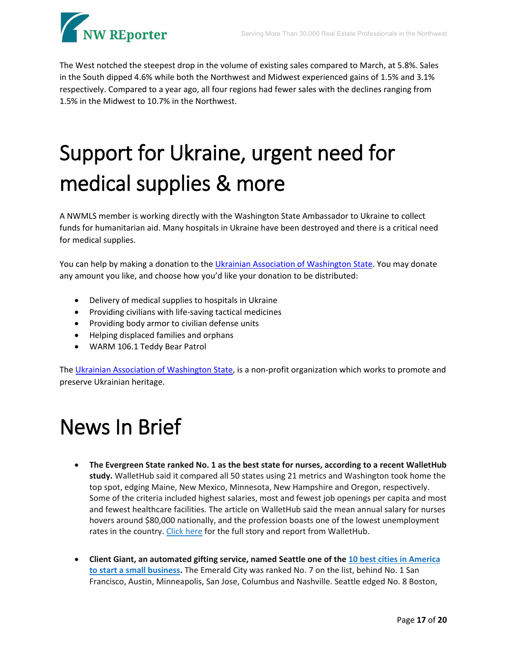

The West notched the steepest drop in the volume of existing sales compared to March, at 5.8%. Sales in the South dipped 4.6% while both the Northwest and Midwest experienced gains of 1.5% and 3.1% respectively. Compared to a year ago, all four regions had fewer sales with the declines ranging from 1.5% in the Midwest to 10.7% in the Northwest.

## Support for Ukraine, urgent need for medical supplies & more

A NWMLS member is working directly with the Washington State Ambassador to Ukraine to collect funds for humanitarian aid. Many hospitals in Ukraine have been destroyed and there is a critical need for medical supplies.

You can help by making a donation to the [Ukrainian Association of Washington State.](https://nam12.safelinks.protection.outlook.com/?url=https%3A%2F%2Fwww.paypal.com%2Fdonate%2F%3Fhosted_button_id%3DQNBZXQRSPYYB4&data=05%7C01%7C%7Cffb5c4b9dd4747aedcda08da345589b0%7C84df9e7fe9f640afb435aaaaaaaaaaaa%7C1%7C0%7C637879839240604087%7CUnknown%7CTWFpbGZsb3d8eyJWIjoiMC4wLjAwMDAiLCJQIjoiV2luMzIiLCJBTiI6Ik1haWwiLCJXVCI6Mn0%3D%7C3000%7C%7C%7C&sdata=mbxc8SnHKif3U3gvPpGKcpiLsJYD1RLshq3fLKdyBbs%3D&reserved=0) You may donate any amount you like, and choose how you'd like your donation to be distributed:

- Delivery of medical supplies to hospitals in Ukraine
- Providing civilians with life-saving tactical medicines
- Providing body armor to civilian defense units
- Helping displaced families and orphans
- WARM 106.1 Teddy Bear Patrol

The [Ukrainian Association of Washington State,](https://nam12.safelinks.protection.outlook.com/?url=https%3A%2F%2Fuaws.org%2F%23aboutus&data=05%7C01%7C%7Cffb5c4b9dd4747aedcda08da345589b0%7C84df9e7fe9f640afb435aaaaaaaaaaaa%7C1%7C0%7C637879839240604087%7CUnknown%7CTWFpbGZsb3d8eyJWIjoiMC4wLjAwMDAiLCJQIjoiV2luMzIiLCJBTiI6Ik1haWwiLCJXVCI6Mn0%3D%7C3000%7C%7C%7C&sdata=fivEzwcA0pO4KZuKK0tPDeRBgRmZbxH7NRT%2BM07yvu4%3D&reserved=0) is a non-profit organization which works to promote and preserve Ukrainian heritage.

### News In Brief

- **The Evergreen State ranked No. 1 as the best state for nurses, according to a recent WalletHub study.** WalletHub said it compared all 50 states using 21 metrics and Washington took home the top spot, edging Maine, New Mexico, Minnesota, New Hampshire and Oregon, respectively. Some of the criteria included highest salaries, most and fewest job openings per capita and most and fewest healthcare facilities. The article on WalletHub said the mean annual salary for nurses hovers around \$80,000 nationally, and the profession boasts one of the lowest unemployment rates in the country. [Click here](https://wallethub.com/edu/best-states-for-nurses/4041) for the full story and report from WalletHub.
- **Client Giant, an automated gifting service, named Seattle one of the [10 best cities in America](https://www.clientgiant.com/blog/best-cities-for-starting-a-small-business/)  [to start a small business.](https://www.clientgiant.com/blog/best-cities-for-starting-a-small-business/)** The Emerald City was ranked No. 7 on the list, behind No. 1 San Francisco, Austin, Minneapolis, San Jose, Columbus and Nashville. Seattle edged No. 8 Boston,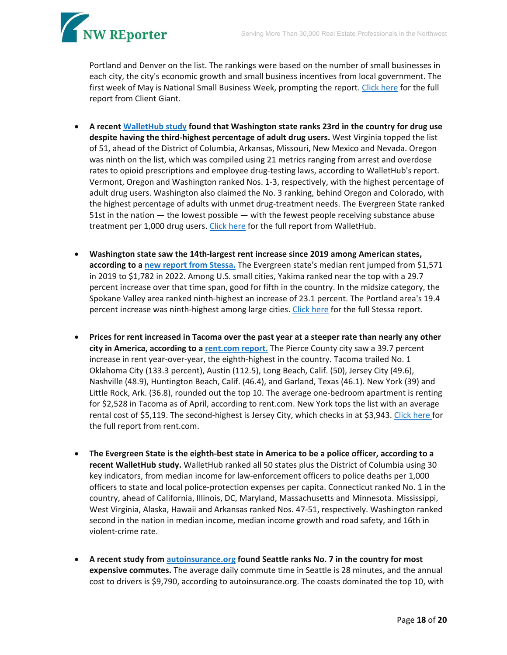

Portland and Denver on the list. The rankings were based on the number of small businesses in each city, the city's economic growth and small business incentives from local government. The first week of May is National Small Business Week, prompting the report. [Click here](https://www.clientgiant.com/blog/best-cities-for-starting-a-small-business/) for the full report from Client Giant.

- **A recent [WalletHub study](https://wallethub.com/edu/drug-use-by-state/35150) found that Washington state ranks 23rd in the country for drug use despite having the third-highest percentage of adult drug users.** West Virginia topped the list of 51, ahead of the District of Columbia, Arkansas, Missouri, New Mexico and Nevada. Oregon was ninth on the list, which was compiled using 21 metrics ranging from arrest and overdose rates to opioid prescriptions and employee drug-testing laws, according to WalletHub's report. Vermont, Oregon and Washington ranked Nos. 1-3, respectively, with the highest percentage of adult drug users. Washington also claimed the No. 3 ranking, behind Oregon and Colorado, with the highest percentage of adults with unmet drug-treatment needs. The Evergreen State ranked 51st in the nation — the lowest possible — with the fewest people receiving substance abuse treatment per 1,000 drug users. [Click here](https://wallethub.com/edu/drug-use-by-state/35150) for the full report from WalletHub.
- **Washington state saw the 14th-largest rent increase since 2019 among American states, according to a [new report from Stessa.](https://www.stessa.com/blog/cities-where-rents-have-risen-most/)** The Evergreen state's median rent jumped from \$1,571 in 2019 to \$1,782 in 2022. Among U.S. small cities, Yakima ranked near the top with a 29.7 percent increase over that time span, good for fifth in the country. In the midsize category, the Spokane Valley area ranked ninth-highest an increase of 23.1 percent. The Portland area's 19.4 percent increase was ninth-highest among large cities. [Click here](https://www.stessa.com/blog/cities-where-rents-have-risen-most/) for the full Stessa report.
- **Prices for rent increased in Tacoma over the past year at a steeper rate than nearly any other city in America, according to a [rent.com report.](https://www.rent.com/research/average-rent-price-report/)** The Pierce County city saw a 39.7 percent increase in rent year-over-year, the eighth-highest in the country. Tacoma trailed No. 1 Oklahoma City (133.3 percent), Austin (112.5), Long Beach, Calif. (50), Jersey City (49.6), Nashville (48.9), Huntington Beach, Calif. (46.4), and Garland, Texas (46.1). New York (39) and Little Rock, Ark. (36.8), rounded out the top 10. The average one-bedroom apartment is renting for \$2,528 in Tacoma as of April, according to rent.com. New York tops the list with an average rental cost of \$5,119. The second-highest is Jersey City, which checks in at \$3,943. [Click here](https://www.rent.com/research/average-rent-price-report/) for the full report from rent.com.
- **The Evergreen State is the eighth-best state in America to be a police officer, according to a recent WalletHub study.** WalletHub ranked all 50 states plus the District of Columbia using 30 key indicators, from median income for law-enforcement officers to police deaths per 1,000 officers to state and local police-protection expenses per capita. Connecticut ranked No. 1 in the country, ahead of California, Illinois, DC, Maryland, Massachusetts and Minnesota. Mississippi, West Virginia, Alaska, Hawaii and Arkansas ranked Nos. 47-51, respectively. Washington ranked second in the nation in median income, median income growth and road safety, and 16th in violent-crime rate.
- **A recent study from [autoinsurance.org](https://www.autoinsurance.org/expensive-commutes/) found Seattle ranks No. 7 in the country for most expensive commutes.** The average daily commute time in Seattle is 28 minutes, and the annual cost to drivers is \$9,790, according to autoinsurance.org. The coasts dominated the top 10, with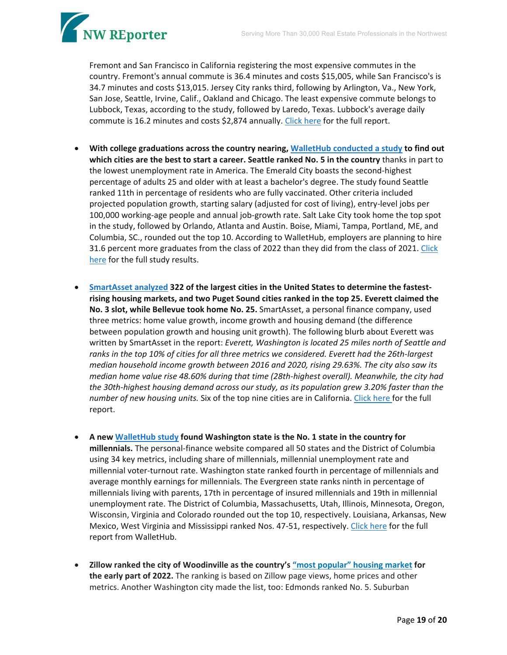

Fremont and San Francisco in California registering the most expensive commutes in the country. Fremont's annual commute is 36.4 minutes and costs \$15,005, while San Francisco's is 34.7 minutes and costs \$13,015. Jersey City ranks third, following by Arlington, Va., New York, San Jose, Seattle, Irvine, Calif., Oakland and Chicago. The least expensive commute belongs to Lubbock, Texas, according to the study, followed by Laredo, Texas. Lubbock's average daily commute is 16.2 minutes and costs \$2,874 annually. [Click here](https://www.autoinsurance.org/expensive-commutes/) for the full report.

- **With college graduations across the country nearing, [WalletHub conducted a study](https://wallethub.com/edu/best-worst-cities-to-start-a-career/3626) to find out which cities are the best to start a career. Seattle ranked No. 5 in the country** thanks in part to the lowest unemployment rate in America. The Emerald City boasts the second-highest percentage of adults 25 and older with at least a bachelor's degree. The study found Seattle ranked 11th in percentage of residents who are fully vaccinated. Other criteria included projected population growth, starting salary (adjusted for cost of living), entry-level jobs per 100,000 working-age people and annual job-growth rate. Salt Lake City took home the top spot in the study, followed by Orlando, Atlanta and Austin. Boise, Miami, Tampa, Portland, ME, and Columbia, SC., rounded out the top 10. According to WalletHub, employers are planning to hire 31.6 percent more graduates from the class of 2022 than they did from the class of 2021. Click [here](https://wallethub.com/edu/best-worst-cities-to-start-a-career/3626) for the full study results.
- **[SmartAsset analyzed](https://smartasset.com/data-studies/top-10-rising-housing-markets-2022) 322 of the largest cities in the United States to determine the fastestrising housing markets, and two Puget Sound cities ranked in the top 25. Everett claimed the No. 3 slot, while Bellevue took home No. 25.** SmartAsset, a personal finance company, used three metrics: home value growth, income growth and housing demand (the difference between population growth and housing unit growth). The following blurb about Everett was written by SmartAsset in the report: *Everett, Washington is located 25 miles north of Seattle and ranks in the top 10% of cities for all three metrics we considered. Everett had the 26th-largest median household income growth between 2016 and 2020, rising 29.63%. The city also saw its median home value rise 48.60% during that time (28th-highest overall). Meanwhile, the city had the 30th-highest housing demand across our study, as its population grew 3.20% faster than the number of new housing units.* Six of the top nine cities are in California. [Click here](https://smartasset.com/data-studies/top-10-rising-housing-markets-2022) for the full report.
- **A new [WalletHub study](https://wallethub.com/edu/best-states-for-millennials/33371) found Washington state is the No. 1 state in the country for millennials.** The personal-finance website compared all 50 states and the District of Columbia using 34 key metrics, including share of millennials, millennial unemployment rate and millennial voter-turnout rate. Washington state ranked fourth in percentage of millennials and average monthly earnings for millennials. The Evergreen state ranks ninth in percentage of millennials living with parents, 17th in percentage of insured millennials and 19th in millennial unemployment rate. The District of Columbia, Massachusetts, Utah, Illinois, Minnesota, Oregon, Wisconsin, Virginia and Colorado rounded out the top 10, respectively. Louisiana, Arkansas, New Mexico, West Virginia and Mississippi ranked Nos. 47-51, respectively. [Click here](https://wallethub.com/edu/best-states-for-millennials/33371) for the full report from WalletHub.
- **Zillow ranked the city of Woodinville as the country's ["most popular" housing market](https://www.zillow.com/research/most-popular-markets-q1-2022-31059/) for the early part of 2022.** The ranking is based on Zillow page views, home prices and other metrics. Another Washington city made the list, too: Edmonds ranked No. 5. Suburban